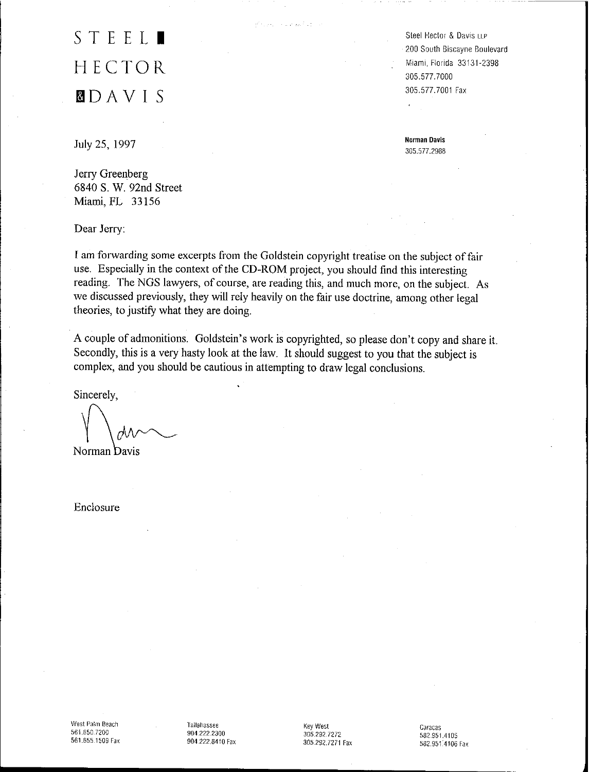# **STEEL.** HECTOR **mo** A V I S

July 25, 1997

Jerry Greenberg 6840 S. W. 92nd Street Miami, FL 33156

Dear Jerry:

I am forwarding some excerpts from the Goldstein copyright treatise on the subject of fair use. Especially in the context of the CD-ROM project, you should find this interesting reading, The NGS lawyers, of course, are reading this, and much more, on the subject. As we discussed previously, they will rely heavily on the fair use doctrine, among other legal theories, to justify what they are doing.

stand of a market of

A couple of admonitions, Goldstein's work is copyrighted, so please don't copy and share it. Secondly, this is a very hasty look at the law. It should suggest to you that the subject is complex, and you should be cautious in attempting to draw legal conclusions.

Sincerely,

Norman Davis

Enclosure

Steel Hector & Davis LLP 200 South Biscayne Boulevard Miami, Florida 33131-2398 305,577.7000 305,577.7001 Fax

**Norman Davis** 305,577.2988

West Palm Beach 561.650.7200 561.655.1509 Fax

Tallahassee 904.222.2300 904.222.8410 Fax Key West 305.292.7272 305.292.7271 Fax

Caracas 582.951.4105 582.951.4106 Fax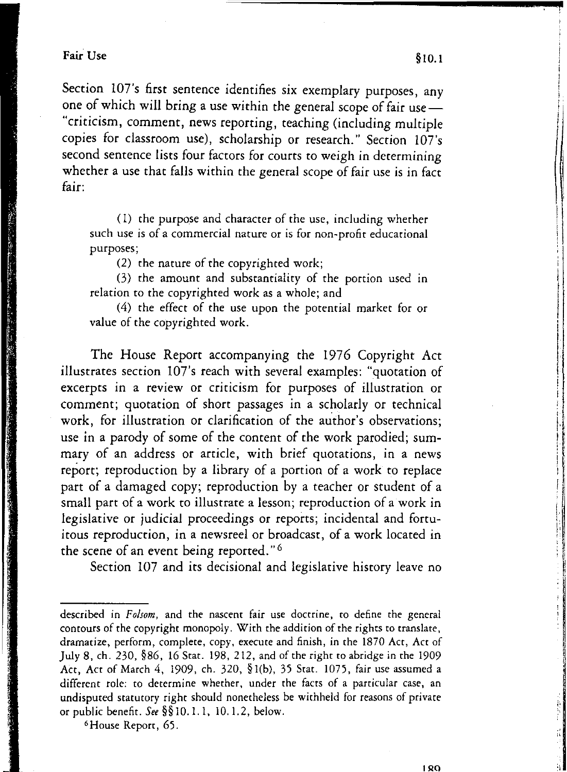## Fair Use  $\S 10.1$

Section 107's first sentence identifies six exemplary purposes, any one of which will bring a use within the general scope of fair use-"criticism, comment, news reporting, teaching (including multiple copies for classroom use), scholarship or research." Section 107's second sentence lists four factors for courts to weigh in determining whether a use that falls within the general scope of fair use is in fact fair:

(1) the purpose and character of the use, including whether such use is of a commercial nature or is for non-profit educational purposes;

(2) the nature of the copyrighted work;

(3) the amount and substantiality of the portion used in relation to the copyrighted work as a whole; and

(4) the effect of the use upon the potential market for or value of the copyrighted work.

The House Report accompanying the 1976 Copyright Act illustrates section lO7's reach with several examples: "quotation of excerpts in a review or criticism for purposes of illustration or comment; quotation of short passages in a scholarly or technical work, for illustration or clarification of the author's observations; use in a parody of some of the content of the work parodied; summary of an address or article, with brief quotations, in a news report; reproduction by a library of a portion of a work to replace part of a damaged copy; reproduction by a teacher or student of a small part of a work to illustrate a lesson; reproduction of a work in legislative or judicial proceedings or reports; incidental and fortuitous reproduction, in a newsreel or broadcast, of a work located in the scene of an event being reported." 6

Section 107 and its decisional and legislative history leave no

6House Report, 65.

I I

,

I

I i f

described in *Folsom,* and the nascent fair use doctrine, to define the general contours of the copyright monopoly. With the addition of the rights to translate. dramatize, perform, complete, copy, execute and finish, in the 1870 Act, Act of July 8, ch. 230, §86, 16 Stat. 198, 212, and of the right to abridge in the 1909 Act, Act of March 4, 1909, ch. 320, § l(b), 35 Stat. 1075, fair use assumed a different role: to determine whether, under the facts of a particular case, an undisputed statutory right should nonetheless be withheld for reasons of private or public benefit. *See* §§IO.I.I, 10.1.2, below.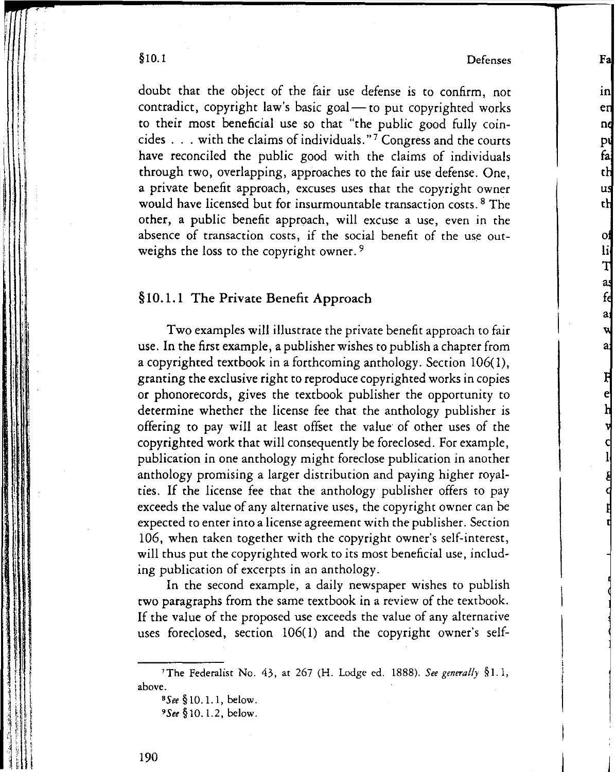§10.1 Defenses

o

Fal

in en nd pι fa th us th

li<br>T

a,

doubt that the object of the fair use defense is to confirm, not contradict, copyright law's basic goal $-$  to put copyrighted works to their most beneficial use so that "the public good fully coincides ... with the claims of individuals." <sup>7</sup> Congress and the courts have reconciled the public good with the claims of individuals through two, overlapping, approaches to the fair use defense. One, a private benefit approach, excuses uses that the copyright owner would have licensed but for insurmountable transaction costs. <sup>8</sup> The other, a public benefit approach, will excuse a use, even in the absence of transaction costs, if the social benefit of the use outweighs the loss to the copyright owner.<sup>9</sup>

### §10.1.1 The Private Benefit Approach

Two examples will illustrate the private benefit approach to fair use. In the first example, a publisher wishes to publish a chapter from a copyrighted textbook in a forthcoming anthology. Section 106(1), granting the exclusive right to reproduce copyrighted works in copies or phonorecords, gives the textbook publisher the opportunity to determine whether the license fee that the anthology publisher is offering to pay will at least offset the value of other uses of the copyrighted work that will consequently be foreclosed. For example, publication in one anthology might foreclose publication in another anthology promising a larger distribution and paying higher royalties. If the license fee that the anthology publisher offers to pay exceeds the value of any alternative uses, the copyright owner can be expected to enter into a license agreement with the publisher. Section 106, when taken together with the copyright owner's self-interest, will thus put the copyrighted work to its most beneficial use, including publication of excerpts in an anthology.

In the second example, a daily newspaper wishes to publish two paragraphs from the same textbook in a review of the textbook. If the value of the proposed use exceeds the value of any alternative uses foreclosed, section 106(1) and the copyright owner's self-

 $\vert$  ,

 $\tau$  .

i<br>Indonesia<br>Indonesia I<br>I<br>I i I

i ' : I  $\mathfrak{l}$  i i 1

 $\blacksquare$ 

I

!

I ! i

<sup>&#</sup>x27;The Federalist No. 43, at 267 (H. Lodge ed. 1888). *See generally* § I. 1, above.

*<sup>&#</sup>x27;See* § 10.1. 1, below.

*<sup>•</sup>See* §10.1.2, below.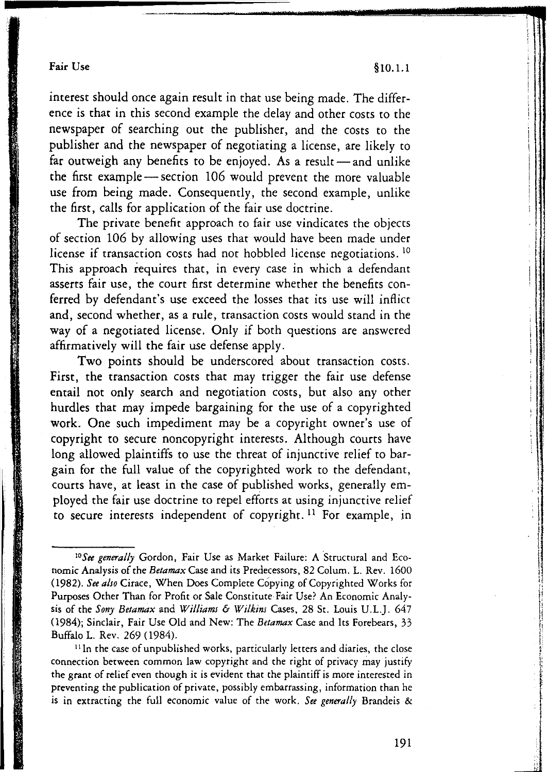### Fair Use  $§10.1.1$

**i** 

I; , I , I

. i I **Incomediate** 

**Internet State** 

\ I I

interest should once again result in that use being made. The difference is that in this second example the delay and other costs to the newspaper of searching out the publisher, and the costs to the publisher and the newspaper of negotiating a license, are likely to far outweigh any benefits to be enjoyed. As a result  $-$  and unlike the first example - section 106 would prevent the more valuable use from being made. Consequently, the second example, unlike the first, calls for application of the fair use doctrine.

The private benefit approach to fair use vindicates the objects of section 106 by allowing uses that would have been made under license if transaction costs had not hobbled license negotiations. <sup>10</sup> This approach requires that, in every case in which a defendant asserts fair use, the court first determine whether the benefits conferred by defendant's use exceed the losses that its use will inflict and, second whether, as a rule, transaction costs would stand in the way of a negotiated license. Only if both questions are answered affirmatively will the fair use defense apply.

Two points should be underscored about transaction costs. First, the transaction costs that may trigger the fair use defense entail not only search and negotiation costs, but also any other hurdles that may impede bargaining for the use of a copyrighted work. One such impediment may be a copyright owner's use of copyright to secure noncopyright interests. Although courts have long allowed plaintiffs to use the threat of injunctive relief to bargain for the full value of the copyrighted work to the defendant, courts have, at least in the case of published works, generally employed the fair use doctrine to repel efforts at using injunctive relief to secure interests independent of copyright.<sup>11</sup> For example, in

<sup>11</sup>In the case of unpublished works, particularly letters and diaries, the close connection between common law copyright and the right of privacy may justify the grant of relief even though it is evident that the plaintiff is more interested in preventing the publication of private, possibly embarrassing, information than he is in extracting the full economic value of the work. *See generally* Brandeis &

<sup>&</sup>lt;sup>10</sup>See generally Gordon, Fair Use as Market Failure: A Structural and Economic Analysis of the *Betamax* Case and its Predecessors, 82 Colum. L. Rev. 1600 *(1982). See also* Cirace, When Does Complete Copying of Copyrighted Works for Purposes Other Than for Profit or Sale Constitute Fair Use? An Economic Analysis of the *Sony Betamax* and *Williams* & *Wi/kim* Cases, 28 St. Louis U.L.]. 647 (1984); Sinclair, Fair Use Old and New: The *Betamax* Case and Its Forebears, 33 Buffalo L. Rev. 269 (1984).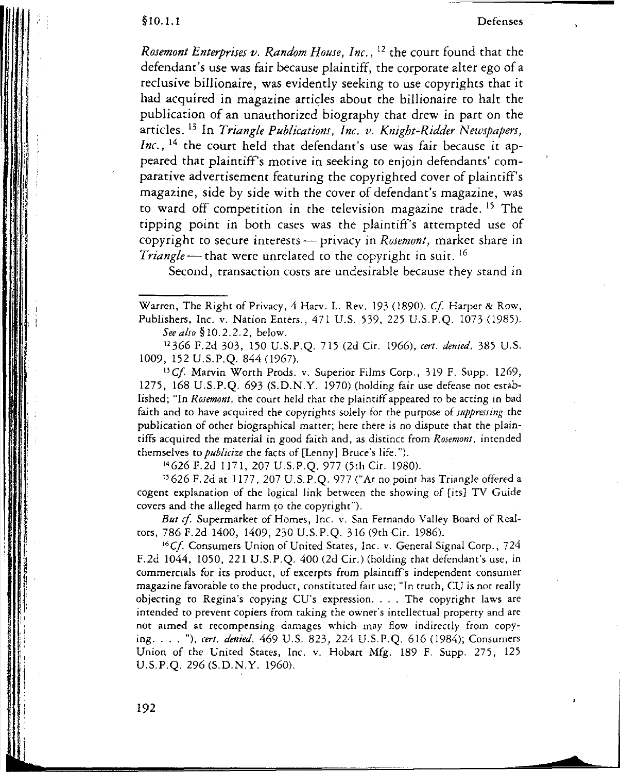**Rosemont Enterprises** *v. Random House, Inc.,* <sup>12</sup> the court found that the<br>*Rosemont Enterprises v. Random House, Inc.,* <sup>12</sup> the court found that the defendant's use was fair because plaintiff, the corporate alter ego of a reclusive billionaire, was evidently seeking to use copyrights that it had acquired in magazine articles about the billionaire to halt the publication of an unauthorized biography that drew in part on the articles. 13 In *Triangle Publications, Inc. v. Knight-Ridder Newspapers, Inc.*, <sup>14</sup> the court held that defendant's use was fair because it appeared that plaintiff's motive in seeking to enjoin defendants' comparative advertisement featuring the copyrighted cover of plaintiff's magazine, side by side with the cover of defendant's magazine, was to ward off competition in the television magazine trade. 15 The tipping point in both cases was the plaintiff's attempted use of copyright to secure interests - privacy in *Rosemont*, market share in *Triangle* – that were unrelated to the copyright in suit. <sup>16</sup>

Second, transaction costs are undesirable because they stand in

Warren, The Right of Privacy, 4 Harv. L. Rev. 193 (1890). Cf. Harper & Row, Publishers, Inc. v. Nation Enters., 471 U.S. 539, 225 U.S.P.O. 1073 (1985). *See also* §1O.2.2.2, below.

"366 F.2d 303, 150 U.S.P.Q. 715 (2d Cir. 1966), *cert. denied,* 385 U.S. 1009, 152 U.S.P.Q. 844 (1967).

<sup>13</sup>Cf. Marvin Worth Prods. *v.* Superior Films Corp., 319 F. Supp. 1269, 1275, 168 U.S.P.Q. 693 (S.D.N.Y. 1970) (holding fair use defense not established; "In *Rosemont,* the court held that the plaintiff appeared to be acting in bad faith and to have acquired the copyrights solely for the purpose of *suppressing* the publication of other biographical matter; here there is no dispute that the plaintiffs acquired the material in good faith and, as distinct from *Rosemont,* intended themselves to *publicize* the facts of [Lenny) Bruce's life. ").

<sup>14</sup> 626 F.2d 1171,207 U.S.P.Q. 977 (5th Cir. 1980).

<sup>15</sup> 626 F.2d at 1177, 207 U.S.P.Q. 977 ("At no point has Triangle offered a cogent explanation of the logical link between the showing of [its] TV Guide covers and the alleged harm to the copyright").

But cf. Supermarket of Homes, Inc. v. San Fernando Valley Board of Realcors, 786 F.2d 1400,1409,230 U.S.P.Q. 316 (9th Cir. 1986).

 $^{16}$ Cf. Consumers Union of United States, Inc. v. General Signal Corp., 724 F.2d 1044, 1050, 221 U.S.P.Q. 400 (2d Cir.) (holding that defendant's use, in commercials for its product, of excerpts from plaintiffs independent consumer magazine favorable to the produce, constituted fair use; "In truth, CU is not really objecting to Regina's copying CU's expression.... The copyright laws are intended to prevent copiers from taking the owner's intellectual property and are nor aimed at recompensing damages which may flow indirectly from copying.... "), *cert, denied.* <sup>469</sup> U.S. 823, <sup>224</sup> U.S.P.Q. <sup>616</sup> (1984); Consumers Union of the United States, Inc. v. Hobart Mfg. 189 F. Supp, 275, 125 U.S.P.Q. 296 (S.D.N.Y. 1960).

192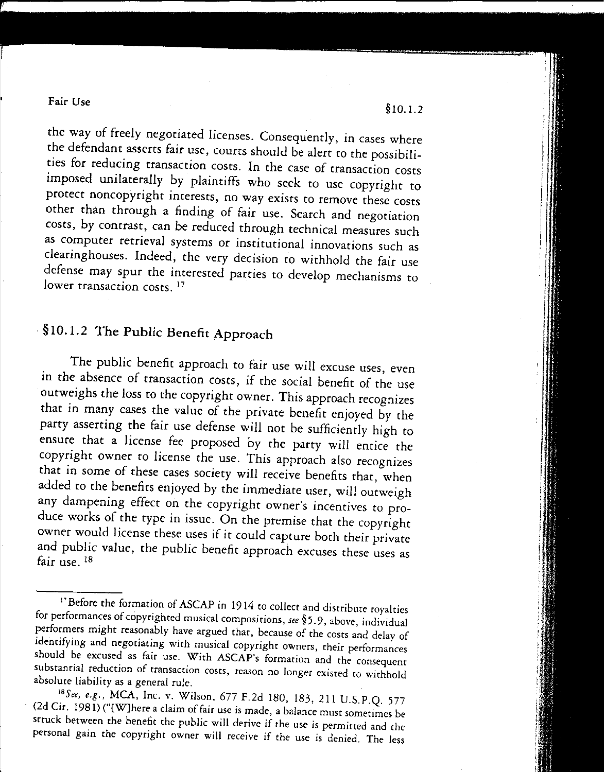#### Fair Use

the way of freely negotiated licenses. Consequently, in cases where the defendant asserts fair use, courts should be alert to the possibilities for reducing transaction COSts. In the case of transaction costs imposed unilaterally by plaintiffs who seek to use copyright to protect noncopyright interests, no way exists to remove these costs other than through a finding of fair use. Search and negotiation costs, by contrast, can be reduced through technical measures such as computer retrieval systems or institutional innovations such as clearinghouses. Indeed, the very decision to withhold the fair use defense may spur the interested parties to develop mechanisms to lower transaction costs.<sup>17</sup>

## . § 10.1.2 The Public Benefit Approach

The public benefit approach to fair use will excuse uses, even in the absence of transaction costs, if the social benefit of the use outweighs the loss to the copyright owner. This approach recognizes that in many cases the value of the private benefit enjoyed by the party asserting the fair use defense will not be sufficiently high to ensure that a license fee proposed by the party will entice the copyright owner to license the use. This approach also recognizes that in some of these cases society will receive benefits that, when added to the benefits enjoyed by the immediate user, will outweigh any dampening effect on the copyright owner's incentives to produce works of the type in issue. On the premise that the copyright owner would license these uses if it could capture both their private and public value, the public benefit approach excuses these uses as fair use. <sup>18</sup>

§1O.1.2

l'Before the formation of ASCAP in 1914 to collect and distribute royalties for performances of copyrighted musical compositions, see §5.9, above, individual performers might reasonably have argued that, because of the costs and delay of identifying and negotiating with musical copyrighr owners, their performances should be excused as fair use. With ASCAP's formation and the consequent substantial reduction of transaction costs, reason no longer existed to withhold absolute liability as a general rule.

<sup>18</sup> See, e.g., MCA, Inc. v. Wilson, 677 F.2d 180, 183, 211 U.S.P.Q. 577 (2d Cir. 1981) ("[W}here a claim offair use is made, a balance must sometimes be struck between the benefit the public will derive if the use is permitted and the personal gain the copyright owner will receive if the use is denied. The less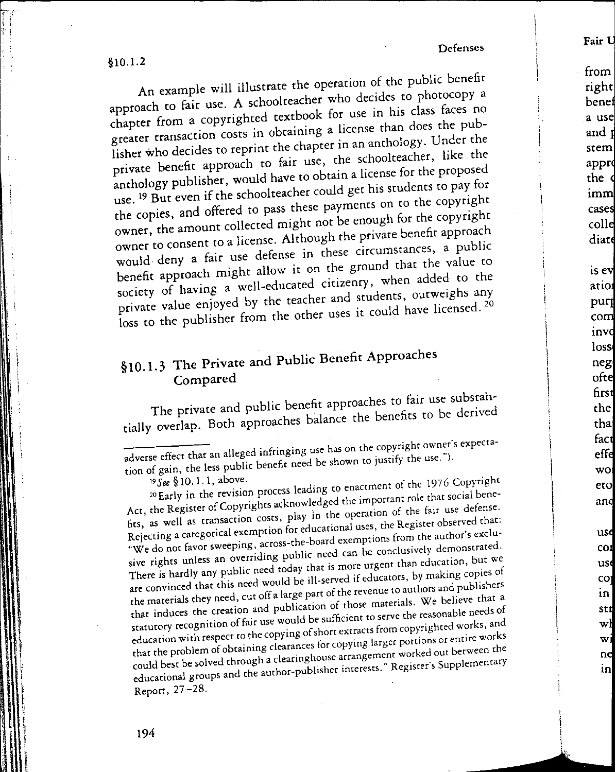Defenses

 $§10.1.2$ 

An example will illustrate the operation of the public benefit approach to fair use. A schoolteacher who decides to photocopy a chapter from a copyrighted textbook for use in his class faces no greater transaction costs in obtaining a license than does the publisher who decides to reprint the chapter in an anthology. Under the private benefit approach to fair use, the schoolteacher, like the anthology publisher, would have to obtain a license for the proposed use.<sup>19</sup> But even if the schoolteacher could get his students to pay for the copies, and offered to pass these payments on to the copyright owner, the amount collected might not be enough for the copyright owner to consent to a license. Although the private benefit approach would deny a fair use defense in these circumstances, a public benefit approach might allow it on the ground that the value to society of having a well-educated citizenry, when added to the private value enjoyed by the teacher and students, outweighs any loss to the publisher from the other uses it could have licensed.<sup>20</sup>

## §10.1.3 The Private and Public Benefit Approaches Compared

The private and public benefit approaches to fair use substantially overlap. Both approaches balance the benefits to be derived

19 See § 10.1.1, above.

<sup>20</sup>Early in the revision process leading to enactment of the 1976 Copyright Act, the Register of Copyrights acknowledged the important role that social benefits, as well as transaction costs, play in the operation of the fair use defense. Rejecting a categorical exemption for educational uses, the Register observed that: "We do not favor sweeping, across-the-board exemptions from the author's exclusive rights unless an overriding public need can be conclusively demonstrated. There is hardly any public need today that is more urgent than education, but we are convinced that this need would be ill-served if educators, by making copies of the materials they need, cut off a large part of the revenue to authors and publishers that induces the creation and publication of those materials. We believe that a statutory recognition of fair use would be sufficient to serve the reasonable needs of education with respect to the copying of short extracts from copyrighted works, and that the problem of obtaining clearances for copying larger portions or entire works could best be solved through a clearinghouse arrangement worked out between the educational groups and the author-publisher interests." Register's Supplementary Report, 27-28.

Fair U

com invd loss

neg

ofte first

the

thai fact

effe

 $\bf{w}$ ol

eto

and

use

 $COI$ 

usd

coj

in |

str

wl

wi

ne

in

adverse effect that an alleged infringing use has on the copyright owner's expectation of gain, the less public benefit need be shown to justify the use.").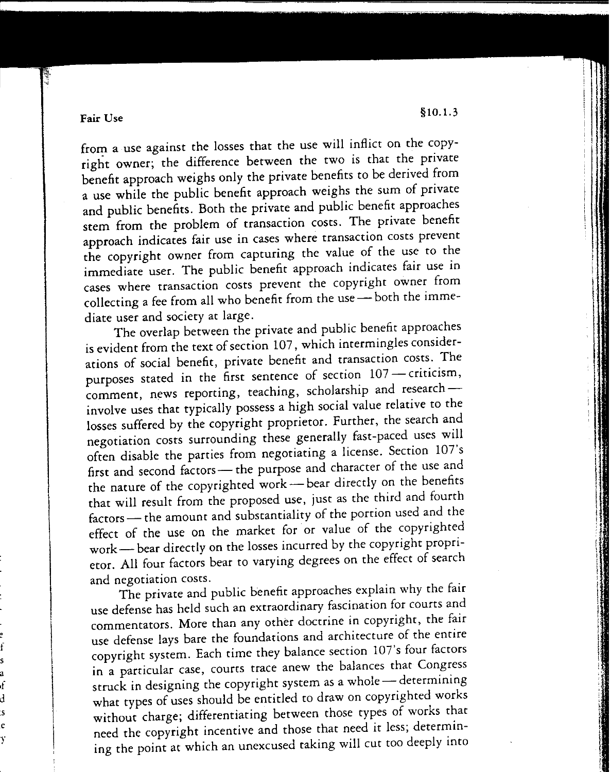Fair Use  $\S 10.1.3$ 

fs<br>a ,fd .s

e<br>y

from a use against the losses that the use will inflict on the copyright owner; the difference between the two is that the private benefit approach weighs only the private benefits to be derived from a use while the public benefit approach weighs the sum of private and public benefits. Both the private and public benefit approaches stem from the problem of transaction costs. The private benefit approach indicates fair use in cases where transaction costs prevent the copyright owner from capturing the value of the use to the immediate user. The public benefit approach indicates fair use in cases where transaction costs prevent the copyright owner from collecting a fee from all who benefit from the use - both the immediate user and society at large.

The overlap between the private and public benefit approaches is evident from the text of section 107, which intermingles considerations of social benefit, private benefit and transaction costs. The purposes stated in the first sentence of section 107 - criticism, comment, news reporting, teaching, scholarship and researchinvolve uses that typically possess a high social value relative to the losses suffered by the copyright proprietor. Further, the search and negotiation costs surrounding these generally fast-paced uses will often disable the parties from negotiating a license. Section  $10/$  s first and second factors - the purpose and character of the use and the nature of the copyrighted work — bear directly on the benefits that will result from the proposed use, just as the third and fourth factors - the amount and substantiality of the portion used and the effect of the use on the market for or value of the copyrighted work- bear directly on the losses incurred by the copyright proprietor. All four factors bear to varying degrees on the effect of search and negotiation costs.

The private and public benefit approaches explain why the fair use defense has held such an extraordinary fascination for courts and commentators. More than any other doctrine in copyright, the fair use defense lays bare the foundations and architecture of the entire copyright system. Each time they balance section 107's four factors in a particular case, courts trace anew the balances that Congress struck in designing the copyright system as a whole — determining what types of uses should be entitled to draw on copyrighted works without charge; differentiating between those types of works that need the copyright incentive and those that need it less; determining the point at which an unexcused taking will cut roo deeply into

iI'.' I!\

: 1999 - 1999 - 1999 - 1999 - 1999 - 1999 - 1999 - 1999 - 1999 - 1999 - 1999 - 1999 - 1999 - 1999 - 1999 - 199<br>1999 - 1999 - 1999 - 1999 - 1999 - 1999 - 1999 - 1999 - 1999 - 1999 - 1999 - 1999 - 1999 - 1999 - 1999 - 1999<br>1

iII, ,. i;

j.<br>1982 - Antonio Mariano, politikar američki književnik († 1915)<br>1982 - Antonio Mariano, politikar američki književnik († 1916) I.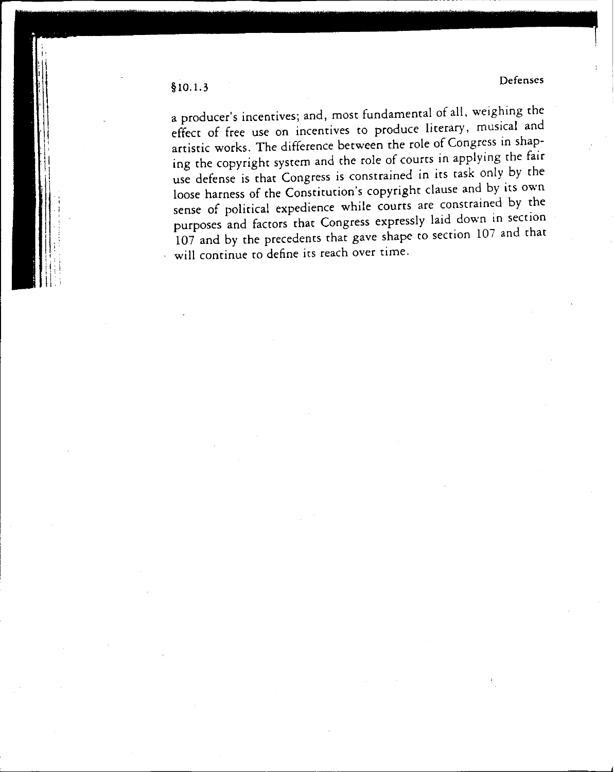a producer's incentives; and, most fundamental of all, weighing the effect of free use on incentives to produce literary, musical and artistic works. The difference between the role of Congress in shaping the copyright system and the role of courts in applying the fair use defense is that Congress is constrained in its task only by the loose harness of the Constitution's copyright clause and by its own sense of political expedience while courts are constrained by the purposes and factors that Congress expressly laid down in section 107 and by the precedents that gave shape to section 107 and that will continue to define its reach over time.

§1O.1.3 Defenses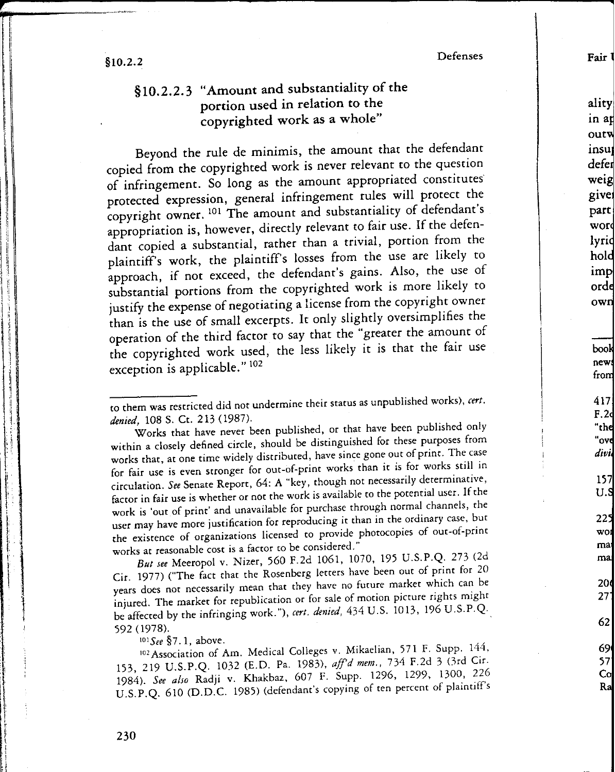$§10.2.2$  Defenses

I, I I !<br>! iii iii ! :j , II I" ll! 1'1 'I'!t!  $\mathbb{I}$  ;

'I'P, Ii

j,I . ,:

t~L

\_

## §1O.2.2.3 "Amount and substantiality of the portion used in relation to the copyrighted work as a whole"

Beyond the rule de minimis, the amount that the defendant copied from the copyrighted work is never relevant to the question of infringement. So long as the amount appropriated constitutes protected expression, general infringement rules will protect the copyright owner. <sup>101</sup> The amount and substantiality of defendant's appropriation is, however, directly relevant to fair use. If the defendant copied a substantial, rather than a trivial, portion from the plaintiff's work, the plaintiff's losses from the use are likely to approach, if not exceed, the defendant's gains. Also, the use of substantial portions from the copyrighted work is more likely to justify the expense of negotiating a license from the copyright owner than is the use of small excerpts. It only slightly oversimplifies the operation of the third factor to say that the "greater the amount of the copyrighted work used, the less likely it is that the fair use exception is applicable." <sup>102</sup>

to them was restricted did not undermine their status as unpublished works), *cert .* denied, 108 S. Ct. 213 (1987).

Works that have never been published, or that have been published only within a closely defined circle, should be distinguished for these purposes from works that, at one time widely distributed, have since gone out of print. The case for fair use is even scronger for out-of-print works than it is for works still in circulation. *See* Senate Report, 64: A "key, though not necessarily determinative, factor in fair use is whether or not the work is available to the potential user. If the work is 'out of print' and unavailable for purchase through normal channels, the user may have more justification for reproducing it than in the ordinary case, but the existence of organizations licensed to provide photocopies of out-of-print works at reasonable cost is a factor to be considered."

*But see* Meeropol v. Nizer, 560 F.2d 1061, 1070, 195 U.S.P.Q. 273 (2d Cir. 1977) ("The fact that the Rosenberg letters have been out of print for 20 years does not necessarily mean that they have no future market which can be injured. The market for republication or for sale of motion picture rights might be affected by the infringing work."), *cert , denied,* 434 U.S. 1013, 196 U.S.P.Q. 592 (1978).

IOIS*ee* §7.1, above.

<sup>102</sup> Association of Am. Medical Colleges v. Mikaelian, 571 F. Supp. 144, 153,219 U.S.P.Q. 1032 (E.D. Pa. 1983), *aff'd mem.,* 734 F.2d 3 (3rd Cit. *1984). See also* Radji v. Khakbaz, 607 F. Supp. 1296, 1299, 1300, 226 U.S.P.Q. 610 (D.D.C. 1985) (defendant's copying of ten percent of plaintiffs aliry in ap outw insu defer welg give part wor lyri

hol imp ord

own

book

**I Fair** 

news from 417 F.2 **"th "ov** *did* 157 U. 22 wo rna m 20

> 69 57 CoR

62

27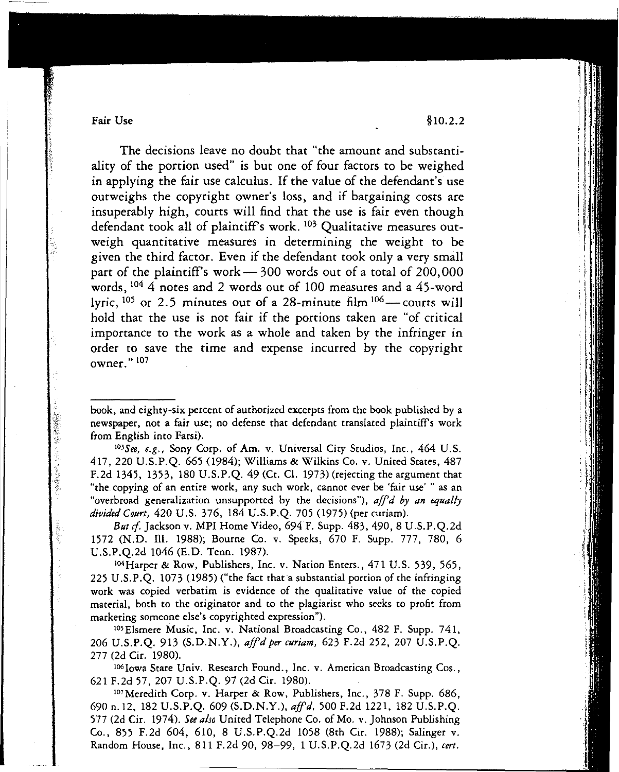Fair Use  $§10.2.2$ 

こうがい

The decisions leave no doubt that "the amount and substantiality of the portion used" is but one of four factors to be weighed in applying the fair use calculus. If the value of the defendant's use outweighs the copyright owner's loss, and if bargaining costs are insuperably high, courts will find that the use is fair even though defendant took all of plaintiffs work. <sup>103</sup> Qualitative measures outweigh quantitative measures in determining the weight to be given the third factor. Even if the defendant took only a very small part of the plaintiff's work $-$  300 words out of a total of 200,000 words, <sup>104</sup> 4 notes and 2 words out of 100 measures and a 45-word lyric,  $105$  or 2.5 minutes out of a 28-minute film  $106$  - courts will hold that the use is not fair if the portions taken are "of critical importance to the work as a whole and taken by the infringer in order to save the time and expense incurred by the copyright owner. " <sup>107</sup>

book, and eighty-six percent of authorized excerpts from the book published by a newspaper, not a fair use; no defense that defendant translated plaintiffs work from English into Farsi).

<sup>103</sup>See, e.g., Sony Corp. of Am. v. Universal City Studios, Inc., 464 U.S. 417,220 U.S.P.Q. 665(984); Williams & Wilkins Co. *v,* United States, 487 F.2d 1345, 1353, 180 U.S.P.Q. 49 (Ct. CI. 1973) (rejecting the argument that "the copying of an entire work, any such work, cannot ever be 'fair use' " as an "overbroad generalization unsupported by the decisions"), *aff'd by an equally divided Court,* 420 U.S. 376, 184 U.S.P.Q. 705(975) (per curiam).

*But cf.* Jackson v. MPI Home Video, 694 F. Supp. 483, 490, 8 U.S.P.Q.2d 1572 (N.D. Ill. 1988); Bourne Co. v. Speeks, 670 F. Supp, 777, 780, 6 U.S.P.Q.2d 1046 (E.D. Tenn. 1987).

<sup>104</sup> Harper & Row, Publishers, Inc. v. Nation Enters., 471 U.S. 539, 565, 225 U.S.P.Q. 1073 (1985) ("the fact than substantial portion of the infringing work was copied verbatim is evidence of the qualitative value of the copied material, both to the originator and to the plagiarist who seeks to profit from marketing someone else's copyrighted expression").

<sup>105</sup> Elsmere Music, Inc. v. National Broadcasting Co., 482 F. Supp. 741, 206 U.S.P.Q. 913 (S.D.N.Y.), *affd per curiam,* 623 F.2d 252, 207 U.S.P.Q. 277 (2d Cir. 1980).

I06Iowa State Univ. Research Found., Inc. v. American Broadcasting Cos., 621 F.2d 57, 207 U.S.P.Q. 97 (2d Cir. 1980).

107Meredith Corp. v. Harper & Row, Publishers, Inc., 378 F. Supp. 686, 690 n.12, 182 U.S.P.Q. 609 (S.D.N.Y.), *affd,* 500 F.2d 1221, 182 U.S.P.Q. 577 (2d Cir. 1974). *See a/so* United Telephone Co. of Mo. v. Johnson Publishing Co., 855 F.2d 604, 610, 8 U.S.P.Q.2d 1058 (8th Cir. 1988); Salinger v. Random House, Inc., 811 F.2d 90,98-99, 1 U.S.P.Q.2d 1673 (2d Cir.), *cert.*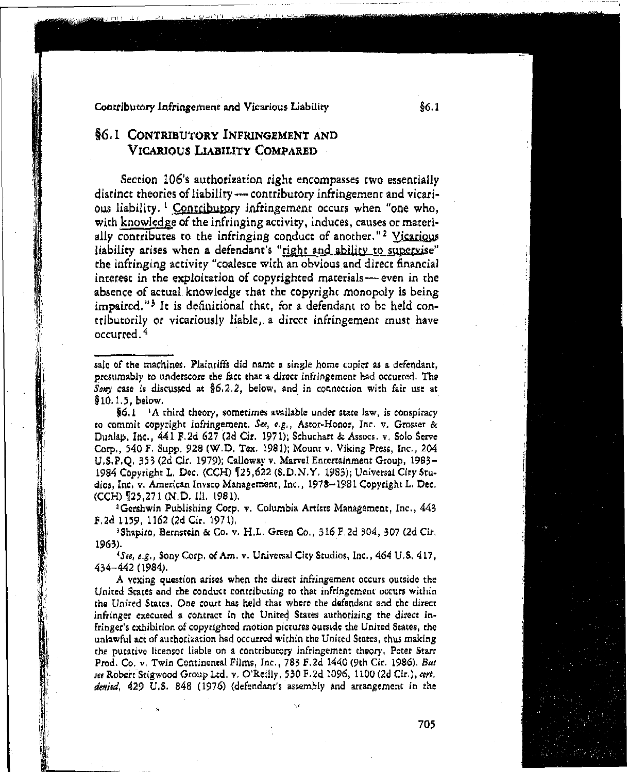### Contributory Infringement and Vicarious Liability

## §6.1 CONTRIBUTORY INFRINGEMENT AND VICARIOUS LIABILITY COMPARED

Section 106's authorization right encompasses two essentially distinct theories of liability - contributory infringement and vicarious liability.<sup>1</sup> Contributory infringement occurs when "one who, with knowledge of the infringing activity, induces, causes or materially contributes to the infringing conduct of another."<sup>2</sup> Vicarious liability arises when a defendant's "right and ability to supervise" the infringing activity "coalesce with an obvious and direct financial interest in the exploitation of copyrighted materials - even in the absence of actual knowledge that the copyright monopoly is being impaired."<sup>3</sup> It is definitional that, for a defendant to be held contributorily or vicariously liable, a direct infringement must have occurred.<sup>4</sup>

§6.1  $\,$  <sup>1</sup>A third theory, sometimes available under state law, is conspiracy to commit copyright infringement. See, e.g., Astor-Honor, Inc. v. Grosser & Dunlap, Inc., 441 F.2d 627 (2d Cir. 1971); Schuchart & Assocs. v. Solo Serve Corp., 540 F. Supp. 928 (W.D. Tex. 1981); Mount v. Viking Press, Inc., 204 U.S.P.O. 353 (2d Cir. 1979); Calloway v. Marvel Entertainment Group, 1983-1984 Copyright L. Dec. (CCH) 125,622 (S.D.N.Y. 1983); Universal City Studios, Inc. v. American Invsco Management, Inc., 1978-1981 Copyright L. Dec. (CCH) 125.271 (N.D. III. 1981).

<sup>2</sup>Gershwin Publishing Corp. v. Columbia Artists Management, Inc., 443 F.2d 1159, 1162 (2d Cir. 1971).

<sup>3</sup>Shapiro, Bernstein & Co. v. H.L. Green Co., 316 F.2d 304, 307 (2d Cir. 1963).

<sup>4</sup>See, e.g., Sony Corp. of Am. v. Universal City Studios, Inc., 464 U.S. 417, 434-442 (1984).

A vexing question arises when the direct infringement occurs outside the United States and the conduct contributing to that infringement occurs within the United States. One court has held that where the defendant and the direct infringer executed a contract in the United States authorizing the direct infringer's exhibition of copyrighted motion pictures outside the United States, the unlawful act of authorization had occurred within the United States, thus making the putative licensor liable on a contributory infringement theory. Peter Starr Prod. Co. v. Twin Continental Films, Inc., 783 F.2d 1440 (9th Cir. 1986). But see Robert Stigwood Group Ltd. v. O'Reilly, 530 F.2d 1096, 1100 (2d Cir.), cert. denied, 429 U.S. 848 (1976) (defendant's assembly and arrangement in the

 $$6.1$ 

sale of the machines. Plaintiffs did name a single home copier as a defendant. presumably to underscore the fact that a direct infringement had occurred. The Sony case is discussed at  $\S6.2.2$ , below, and in connection with fair use at  $$10.1.5, below.$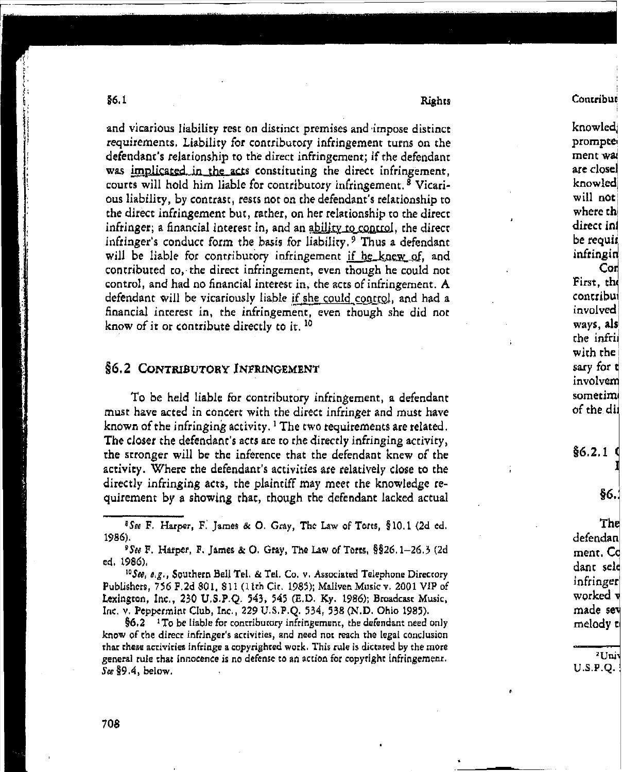Rights

and vicarious liability rest on distinct premises and impose distinct requirements. Liability for contributory infringement turns on the defendant's relationship to the direct infringement; if the defendant was implicated in the acts constituting the direct infringement. courts will hold him liable for contributory infringement.<sup>8</sup> Vicarious liability, by contrast, rests not on the defendant's relationship to the direct infringement but, rather, on her relationship to the direct infringer; a financial interest in, and an ability to control, the direct infringer's conduct form the basis for liability.<sup>9</sup> Thus a defendant will be liable for contributory infringement if he knew of, and contributed to, the direct infringement, even though he could not control, and had no financial interest in, the acts of infringement. A defendant will be vicariously liable if she could control, and had a financial interest in, the infringement, even though she did not know of it or contribute directly to it.<sup>10</sup>

### **\$6.2 CONTRIBUTORY INFRINGEMENT**

To be held liable for contributory infringement, a defendant must have acted in concert with the direct infringer and must have known of the infringing activity.  ${}^{1}$  The two requirements are related. The closer the defendant's acts are to the directly infringing activity, the stronger will be the inference that the defendant knew of the activity. Where the defendant's activities are relatively close to the directly infringing acts, the plaintiff may meet the knowledge requirement by a showing that, though the defendant lacked actual

<sup>§</sup>See F. Harper, F. James & O. Gray, The Law of Torts, §10.1 (2d ed. 1986).

<sup>9</sup>See F. Harper, F. James & O. Gray, The Law of Torts,  $\S$ §26.1-26.3 (2d ed. 1986).

<sup>10</sup>See, e.g., Southern Bell Tel. & Tel. Co. v. Associated Telephone Directory Publishers, 756 F.2d 801, 811 (11th Cit. 1985); Maliven Music v. 2001 VIP of Lexington, Inc., 230 U.S.P.Q. 543, 545 (E.D. Ky. 1986); Broadcast Music, Inc. v. Peppermint Club, Inc., 229 U.S.P.Q. 534, 538 (N.D. Ohio 1985).

 $§6.2$  <sup>1</sup>To be liable for contributory infringement, the defendant need only know of the direct infringer's activities, and need not reach the legal conclusion that these activities infringe a copyrighted work. This rule is dictated by the more general rule that innocence is no defense to an action for copytight infringement.  $S_{\alpha}$  §9.4, below,

knowledj prompte ment wal are closel knowled will not where the direct inf be requir infringin  $\mathop{\mathsf{Coh}}\nolimits$ First, the contribui involved ways, als the infrii with the sary for t involvem sometimi of the dil

Contribut

 $§6.2.1$ 

§6.

The defendan ment. Cd dant sele infringer worked v made sev melody to

<sup>2</sup>Uni  $U.S.P.Q.$ 

\$6.1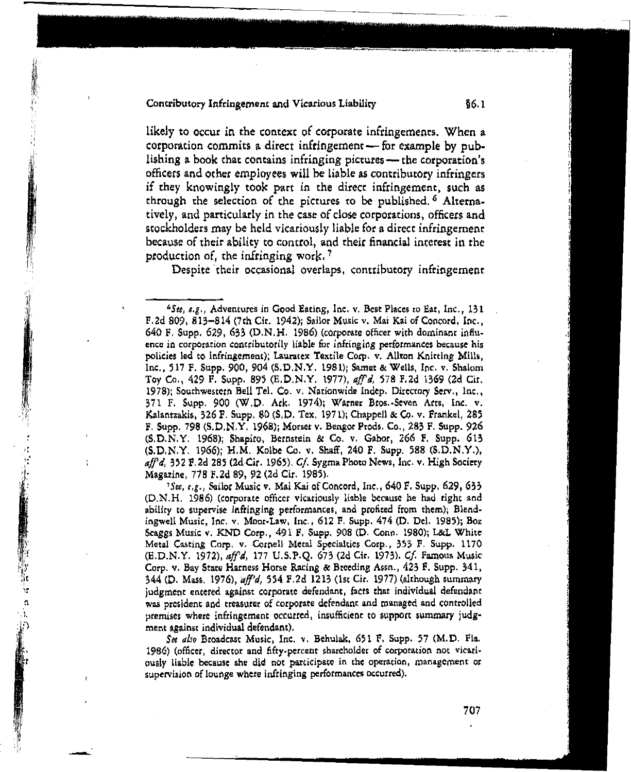#### Contributory Infringement and Vicarious Liability

**【《中国大学》中,《中国大学》中,《中国大学》中,《中国大学》中,《中国大学》中,《中国大学》中,《中国大学》中,《中国大学》中,《中国大学》中,《中国大学》中,《中国大学》中,《中国大学》中,《中国大学》中,《中国大学》中,《中国大学》中,《中国大学》中,《中国大学》中,《中国大学》中,《中国大学》中,《中国大学》中,《中国大学》中,《中国大学》中,《中国大学》中,《中国大学》中,《中国大学》中,《中国大学》中,《中国大学》中,《** 

likely to occur in the context of corporate infringements. When a corporation commits a direct infringement - for example by publishing a book that contains infringing pictures - the corporation's officers and other employees will be liable as contributory infringers if they knowingly took part in the direct infringement, such as through the selection of the pictures to be published.<sup>6</sup> Alternatively, and particularly in the case of close corporations, officers and stockholders may be held vicariously liable for a direct infringement because of their ability to control, and their financial interest in the production of, the infringing work.<sup>7</sup>

Despite their occasional overlaps, contributory infringement

<sup>7</sup>See, e.g., Sailor Music v. Mai Kai of Concord, Inc., 640 F. Supp. 629, 633 (D.N.H. 1986) (corporate officer vicariously liable because he had right and ability to supervise infringing performances, and profited from them); Blendingwell Music, Inc. v. Moor-Law, Inc., 612 F. Supp. 474 (D. Del. 1985); Boz Seaggs Music v. KND Corp., 491 F. Supp. 908 (D. Conp. 1980); L&L White Metal Casting Corp. v. Cornell Metal Specialtics Corp., 353 F. Supp. 1170 (E.D.N.Y. 1972), aff'd, 177 U.S.P.Q. 673 (2d Cir. 1973). Cf. Famous Music Corp. v. Bay State Harness Horse Racing & Breeding Assn., 423 F. Supp. 341, 344 (D. Mass. 1976), aff'd, 554 F.2d 1213 (1st Cir. 1977) (although summary judgment entered against corporate defendant, facts that individual defendant was president and treasurer of corporate defendant and managed and controlled premises where infringement occurred, insufficient to support summary judgment against individual defendant).

See also Broadcast Music, Inc. v. Behulak, 651 F. Supp. 57 (M.D. Fla. 1986) (officer, director and fifty-percent shareholder of corporation not vicariously liable because she did not participate in the operation, management or supervision of lounge where infringing performances occurred).

 $§6.1$ 

<sup>&</sup>lt;sup>6</sup>See, e.g., Adventures in Good Eating, Inc. v. Best Places to Eat, Inc., 131 F.2d 809, 813–814 (7th Cir. 1942); Sailor Music v. Mai Kai of Concord, Inc., 640 F. Supp. 629, 633 (D.N.H. 1986) (corporate officer with dominant influence in corporation contributorily liable for infringing performances because his policies led to infringement); Lauratex Textile Corp. v. Allton Knitting Mills, Inc., 517 F. Supp. 900, 904 (S.D.N.Y. 1981); Samet & Wells, Inc. v. Shalom Toy Co., 429 F. Supp. 895 (E.D.N.Y. 1977), aff'd, 578 F.2d 1369 (2d Cir. 1978); Southwestern Bell Tel. Co. v. Nationwide Indep. Directory Serv., Inc., 371 F. Supp. 900 (W.D. Ark. 1974); Warner Bros.-Seven Arts, Inc. v. Kalantzakis, 326 F. Supp. 80 (S.D. Tex. 1971); Chappell & Co. v. Frankel, 285 F. Supp. 798 (S.D.N.Y. 1968); Morset v. Bengor Prods. Co., 283 F. Supp. 926 (S.D.N.Y. 1968); Shapiro, Bernstein & Co. v. Gabor, 266 F. Supp. 613 (S.D.N.Y. 1966); H.M. Kolbe Co. v. Shaff, 240 F. Supp. 588 (S.D.N.Y.),  $affd$ , 352 F.2d 285 (2d Cir. 1965), Cf. Sygma Photo News, Inc. v. High Society Magazine, 778 F.2d 89, 92 (2d Cir. 1985).